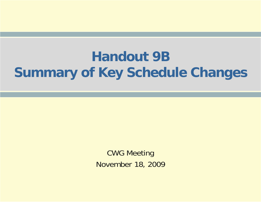## **Handout 9B Summary of Key Schedule Changes**

CWG Meeting November 18, 2009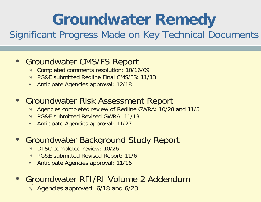# **Groundwater Remedy**

### Significant Progress Made on Key Technical Documents

#### • Groundwater CMS/FS Report

- √ Completed comments resolution: 10/16/09
- √ PG&E submitted Redline Final CMS/FS: 11/13
- Anticipate Agencies approval: 12/18

#### • Groundwater Risk Assessment Report

- √ Agencies completed review of Redline GWRA: 10/28 and 11/5
- √ PG&E submitted Revised GWRA: 11/13
- Anticipate Agencies approval: 11/27

### • Groundwater Background Study Report

- √ DTSC completed review: 10/26
- √ PG&E submitted Revised Report: 11/6
- Anticipate Agencies approval: 11/16

### • Groundwater RFI/RI Volume 2 Addendum

√ Agencies approved: 6/18 and 6/23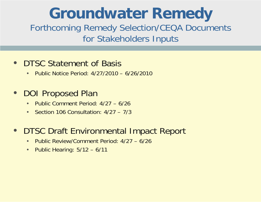# **Groundwater Remedy**

Forthcoming Remedy Selection/CEQA Documents for Stakeholders Inputs

### • DTSC Statement of Basis

• Public Notice Period: 4/27/2010 – 6/26/2010

### • DOI Proposed Plan

- Public Comment Period: 4/27 6/26
- Section 106 Consultation: 4/27 7/3

#### • DTSC Draft Environmental Impact Report

- Public Review/Comment Period: 4/27 6/26
- Public Hearing: 5/12 6/11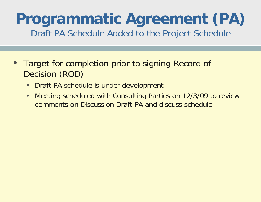### **Programmatic Agreement (PA)**  Draft PA Schedule Added to the Project Schedule

- **Target for completion prior to signing Record of** Decision (ROD)
	- Draft PA schedule is under development
	- Meeting scheduled with Consulting Parties on 12/3/09 to review comments on Discussion Draft PA and discuss schedule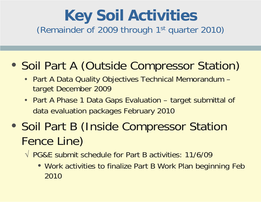## **Key Soil Activities**  (Remainder of 2009 through 1st quarter 2010)

## • Soil Part A (Outside Compressor Station)

- Part A Data Quality Objectives Technical Memorandum target December 2009
- Part A Phase 1 Data Gaps Evaluation target submittal of data evaluation packages February 2010
- Soil Part B (Inside Compressor Station Fence Line)
	- √ PG&E submit schedule for Part B activities: 11/6/09
		- Work activities to finalize Part B Work Plan beginning Feb 2010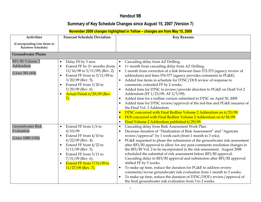#### Handout 9B

#### Summary of Key Schedule Changes since August 15, 2007 (Version 7)

#### November 2009 changes highlighted in Yellow – changes are from May 15, 2009

| <b>Activities</b>                                          | <b>Forecast Schedule Deviation</b>                                                                                                                                                                                                                                       | <b>Key Reasons</b>                                                                                                                                                                                                                                                                                                                                                                                                                                                                                                                                                                                                                                                                                                                                                                                                                                                                                                           |
|------------------------------------------------------------|--------------------------------------------------------------------------------------------------------------------------------------------------------------------------------------------------------------------------------------------------------------------------|------------------------------------------------------------------------------------------------------------------------------------------------------------------------------------------------------------------------------------------------------------------------------------------------------------------------------------------------------------------------------------------------------------------------------------------------------------------------------------------------------------------------------------------------------------------------------------------------------------------------------------------------------------------------------------------------------------------------------------------------------------------------------------------------------------------------------------------------------------------------------------------------------------------------------|
| (Corresponding Line Items in<br><b>Rainbow Schedule)</b>   |                                                                                                                                                                                                                                                                          |                                                                                                                                                                                                                                                                                                                                                                                                                                                                                                                                                                                                                                                                                                                                                                                                                                                                                                                              |
| <b>Groundwater Plume</b>                                   |                                                                                                                                                                                                                                                                          |                                                                                                                                                                                                                                                                                                                                                                                                                                                                                                                                                                                                                                                                                                                                                                                                                                                                                                                              |
| RFI/RI Volume 2<br>Addendum<br>(Lines 581-604)             | Delay FS by 3 mos<br>$\bullet$<br>Extend FF by 2+ months (from<br>$12/16/08$ to $3/11/09$ ) (Rev. 2)<br>Extend FF from to $3/11/09$ to<br>$3/20/09$ (Rev. 5).<br>Extend FF from 3/20 to<br>$5/29/09$ (Rev. 6).<br>Actual Finish 6/29/09 (Rev.<br>7).                     | Cascading delay from AZ Drilling.<br>$\bullet$<br>1+ month from cascading delay from AZ Drilling.<br>$\bullet$<br>1 month from correction of a link between lines 572-573 (agency review of<br>$\bullet$<br>addendum) and lines 576-577 (agency provides comments to PG&E).<br>Added line items in schedule for DTSC/DOI review of response to<br>$\bullet$<br>comments, extended FF by 2 weeks.<br>Added time for DTSC to review/provide direction to PG&E on Draft Vol 2<br>$\bullet$<br>Addendum (FF 1/23/09, AF 2/5/09).<br>Added time for a redline version submitted to DTSC on April 30, 2009.<br>$\bullet$<br>Added time for DTSC review/approval of the red-line and PG&E issuance of<br>$\bullet$<br>the Final Vol. 2 Addendum.<br>DTSC concurred with Final Redline Volume 2 Addendum on 6/23/09.<br>DOI concurred with Final Redline Volume 2 Addendum on 6/18/09.                                               |
|                                                            |                                                                                                                                                                                                                                                                          | Final Volume 2 Addendum published 6/29/09.<br>$\bullet$                                                                                                                                                                                                                                                                                                                                                                                                                                                                                                                                                                                                                                                                                                                                                                                                                                                                      |
| <b>Groundwater Risk</b><br>Evaluation<br>(Lines 1088-1104) | Extend FF from 1/6 to<br>$\bullet$<br>$4/10/09$ .<br>Extend FF from 4/10 to<br>$4/22/09$ (Rev. 4).<br>Extend FF from 4/22 to<br>$\bullet$<br>$5/11/09$ (Rev. 5).<br>Extend FF from 5/11 to<br>$7/31/09$ (Rev. 6).<br>Extend FF from $7/31/09$ to<br>$11/27/09$ (Rev. 7). | Cascading delay from Risk Assessment Work Plan.<br>Decrease duration of "Finalization of Risk Assessment" and "Agencies<br>$\bullet$<br>review/approval" by 1 week each (from 1 month to 3 wks).<br>PG&E requested to phase the submission of the groundwater risk assessment<br>$\bullet$<br>after RFI/RI approval to allow for any post-comments resolution changes in<br>the RFI/RI Vol. 2 to be incorporated in the risk assessment. August 2008<br>scheduled the submittal of risk assessment before RFI/RI approval.<br>Cascading delay in RFI/RI approval and submission after RFI/RI approval<br>shifted FF by 5 weeks.<br>To make up time, reduce the duration for PG&E to address review<br>$\bullet$<br>comments/revise groundwater risk evaluation from 1 month to 3 weeks.<br>To make up time, reduce the duration of DTSC/DOI's review/approval of<br>the final groundwater risk evaluation from 3 to 2 weeks. |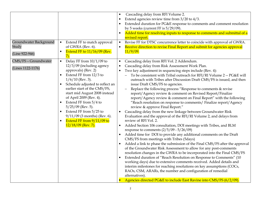| Groundwater Background<br>Study<br>(Line 922-946) | Extend FF to match approval<br>$\bullet$<br>of GWRA (Rev. 6).<br>Extend FF to 11/16/09 (Rev.<br>$\bullet$<br>7).                                                                                                                                                                                                                                                                                                                            | $\bullet$<br>$\bullet$<br>$\bullet$ | Cascading delay from RFI Volume 2.<br>Extend agencies review time from $3/20$ to $4/3$ .<br>Extended duration for PG&E response to comments and comment resolution<br>by 5 weeks (current FF is $5/29/09$ ).<br>Added time for resolving inputs to response to comments and submittal of a<br>revised report.<br>Revise FF for DTSC concurrence letter to coincide with approval of GWRA.<br>Receive direction to revise Final Report and submit for agencies approval<br>11/9/09.                                                                                                                                                                                                                                                                                                                                                                                                                                                                                                                                                                                                                                                                                                                                                                                                                                                                                                                                                                                                                                                                                                                                                                                           |
|---------------------------------------------------|---------------------------------------------------------------------------------------------------------------------------------------------------------------------------------------------------------------------------------------------------------------------------------------------------------------------------------------------------------------------------------------------------------------------------------------------|-------------------------------------|------------------------------------------------------------------------------------------------------------------------------------------------------------------------------------------------------------------------------------------------------------------------------------------------------------------------------------------------------------------------------------------------------------------------------------------------------------------------------------------------------------------------------------------------------------------------------------------------------------------------------------------------------------------------------------------------------------------------------------------------------------------------------------------------------------------------------------------------------------------------------------------------------------------------------------------------------------------------------------------------------------------------------------------------------------------------------------------------------------------------------------------------------------------------------------------------------------------------------------------------------------------------------------------------------------------------------------------------------------------------------------------------------------------------------------------------------------------------------------------------------------------------------------------------------------------------------------------------------------------------------------------------------------------------------|
| CMS/FS - Groundwater<br>(Lines 1122-1176)         | Delay FF from $10/1/09$ to<br>$\bullet$<br>12/3/09 (including agency<br>approvals) (Rev. 2)<br>Extend FF from 12/3 to<br>$1/6/10$ (Rev. 3).<br>Schedule adjusted to reflect an<br>earlier start of the CMS/FS,<br>start mid August 2008 instead<br>of April 2009 (Rev. 4).<br>Extend FF from 5/4 to<br>$5/25/09$ (Rev. 5).<br>Extend FF from 5/25 to<br>$9/11/09$ (3 months) (Rev. 6).<br>Extend FF from 9/11/09 to<br>$12/18/09$ (Rev. 7). | $\bullet$                           | Cascading delay from RFI Vol. 2 Addendum.<br>Cascading delay from Risk Assessment Work Plan.<br>Two key adjustment in sequencing steps include (Rev. 4):<br>To be consistent with Tribal outreach for RFI/RI Volume 2 -- PG&E will<br>outreach with Tribes after Discussion Draft CMS/FS is issued, and then<br>issue Draft CMS/FS to agencies.<br>Replace the following process "Response to comments & revise<br>report/Agency review & comment on Revised Report/Finalize<br>report/Agency review & comment on Final Report" with the following<br>"Reach resolution on response to comments/ Finalize report/Agency<br>review & approve Final Report."<br>Cascading delay from the new linkage between Groundwater Risk<br>Evaluation and the approval of the RFI/RI Volume 2, and delays from<br>review of RFI Vol. 2.<br>Added Section 106 consultation, DOI meetings with Tribes, and BLM<br>response to comments $(2/5/09 - 5/26/09)$<br>Added time for DOI to provide any additional comments on the Draft<br>CMS/FS from meetings with Tribes (5days)<br>Added a link to phase the submission of the Final CMS/FS after the approval<br>of the Groundwater Risk Assessment to allow for any post-comments<br>resolution changes in the GWRA to be incorporated into the Final CMS/FS<br>Extended duration of "Reach Resolution on Response to Comments" (10<br>working days) due to extensive comments received. Added details and<br>interim milestones for reaching resolutions on key assumptions (COCs,<br>RAOs, CSM, ARARs, the number and configuration of remedial<br>alternatives).<br>Agencies directed PG&E to include East Ravine into CMS/FS (6/2/09). |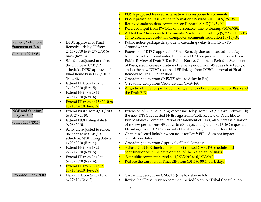| Remedy Selection/<br><b>Statement of Basis</b><br>(Lines 1199-1205) | DTSC approval of Final<br>Remedy - delay FF from<br>2/14/2010 to 8/27/2010 (6<br>mos) (Rev. 3).<br>Schedule adjusted to reflect<br>$\bullet$<br>the change in CMS/FS<br>schedule. DTSC approval of<br>Final Remedy is $1/22/2010$<br>(Rev. 4).<br>Extend FF from 1/22 to<br>$\bullet$<br>$2/12/2010$ (Rev. 5).<br>Extend FF from 2/12 to<br>$\bullet$<br>$6/15/2010$ (Rev. 6).<br>Extend FF from 6/15/2010 to<br>$\bullet$<br>$10/18/2010$ (Rev. 7). | PG&E proposed Revised Alternative E in response to comments.<br>PG&E presented East Ravine information/Revised Alt. E at 9/28 TWG.<br>Received stakeholders' comments on Revised Alt. E (10/5/09).<br>Received input from RWQCB on reasonable time to cleanup (10/6/09).<br>Added two "Response to Comments Resolution" meetings (9/22 and 10/13-<br>14) to accelerate resolution. Completed comments resolution 10/16/09.<br>Public notice package delay due to cascading delay from CMS/FS<br>$\bullet$<br>Groundwater.<br>Extension of DTSC approval of Final Remedy due to: a) cascading delay<br>$\bullet$<br>from CMS/FS Groundwater, b) the new DTSC-requested FF linkage from<br>Public Review of Draft EIR to Public Notice/Comment Period of Statement<br>of Basis; also increase duration of review period from 45 edays to 60 edays,<br>and c) the new DTSC-requested FF linkage from DTSC approval of Final<br>Remedy to Final EIR certified.<br>Cascading delay from CMS/FS (due to delay in RA).<br>$\bullet$<br>Cascading delay from Groundwater CMS/FS.<br>Align timeframe for public comment/public notice of Statement of Basis and<br>the Draft EIR. |
|---------------------------------------------------------------------|------------------------------------------------------------------------------------------------------------------------------------------------------------------------------------------------------------------------------------------------------------------------------------------------------------------------------------------------------------------------------------------------------------------------------------------------------|--------------------------------------------------------------------------------------------------------------------------------------------------------------------------------------------------------------------------------------------------------------------------------------------------------------------------------------------------------------------------------------------------------------------------------------------------------------------------------------------------------------------------------------------------------------------------------------------------------------------------------------------------------------------------------------------------------------------------------------------------------------------------------------------------------------------------------------------------------------------------------------------------------------------------------------------------------------------------------------------------------------------------------------------------------------------------------------------------------------------------------------------------------------------------|
| NOP and Scoping/<br>Program EIR<br>(Lines 1267-1316)                | Extend NOD from 4/20/2009<br>$\bullet$<br>to 8/27/2010.<br>Extend NOD filing date to<br>$\bullet$<br>9/28/2010.<br>Schedule adjusted to reflect<br>$\bullet$<br>the change in CMS/FS<br>schedule. NOD filing date is<br>$1/22/2010$ (Rev. 4).<br>Extend FF from 1/22 to<br>$\bullet$<br>$2/12/2010$ (Rev. 5).<br>Extend FF from 2/12 to<br>$\bullet$<br>$6/15/2010$ (Rev. 6).<br>Extend FF from 6/15 to<br>$\bullet$<br>$10/18/2010$ (Rev. 7).       | Extension of NOD due to: a) cascading delay from CMS/FS Groundwater, b)<br>$\bullet$<br>the new DTSC-requested FF linkage from Public Review of Draft EIR to<br>Public Notice/Comment Period of Statement of Basis; also increase duration<br>of review period from 45 edays to 60 edays, and c) the new DTSC-requested<br>FF linkage from DTSC approval of Final Remedy to Final EIR certified.<br>Change selected links between tasks for Draft EIR - does not impact<br>$\bullet$<br>completion dates.<br>Cascading delay from Approval of Final Remedy.<br>Adjust Draft EIR timeframe to reflect revised CMS/FS schedule and<br>coordination with the development of the Statement of Basis.<br>Set public comment period as 4/27/2010 to 6/27/2010.<br>Reduce the duration of Final EIR from 101.5 to 80.4 work days.                                                                                                                                                                                                                                                                                                                                               |
| Proposed Plan/ROD                                                   | Delay FF from 4/15/10 to<br>$\bullet$<br>$6/17/10$ (Rev. 2)                                                                                                                                                                                                                                                                                                                                                                                          | Cascading delay from CMS/FS (due to delay in RA).<br>Revise the "Tribal review/comment period" step to "Tribal Consultation                                                                                                                                                                                                                                                                                                                                                                                                                                                                                                                                                                                                                                                                                                                                                                                                                                                                                                                                                                                                                                              |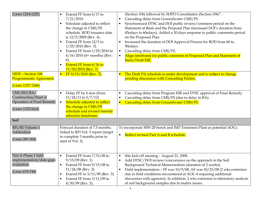| (Lines 1214-1225)             | Extend FF from 6/17 to<br>$\bullet$<br>7/21/2010.<br>Schedule adjusted to reflect<br>$\bullet$<br>the change in CMS/FS<br>schedule. ROD issuance date<br>is $12/5/2009$ (Rev. 4).<br>Extend FF from 12/5 to<br>$\bullet$<br>$1/25/2010$ (Rev. 5).<br>Extend FF from $1/25/2010$ to<br>$\bullet$<br>$6/16/2010$ (4+ months) (Rev.<br>$6$ ).<br>Extend FF from 6/16 to<br>$\bullet$<br>$11/30/2010$ (Rev. 7). | (Section 106) followed by SHPO Consultation (Section 106)".<br>Cascading delay from Groundwater CMS/FS.<br>$\bullet$<br>Synchronized DTSC and DOI public review/comment period on the<br>Statement of Basis and the Proposal Plan (increased DOI's duration from<br>45edays to 60edays). Added a 30-days response to public comments period<br>on the Proposed Plan.<br>Increased the duration of DOI Approval Process for ROD from 60 to<br>$\bullet$<br>90edays.<br>Cascading delay from CMS/FS.<br>Align timeframe for public comment of Proposed Plan and Statement of<br>$\bullet$<br>Basis/Draft EIR. |
|-------------------------------|-------------------------------------------------------------------------------------------------------------------------------------------------------------------------------------------------------------------------------------------------------------------------------------------------------------------------------------------------------------------------------------------------------------|-------------------------------------------------------------------------------------------------------------------------------------------------------------------------------------------------------------------------------------------------------------------------------------------------------------------------------------------------------------------------------------------------------------------------------------------------------------------------------------------------------------------------------------------------------------------------------------------------------------|
| NEW - Section 106             | FF $9/15/2010$ (Rev. 7).                                                                                                                                                                                                                                                                                                                                                                                    | The Draft PA schedule is under development and is subject to change                                                                                                                                                                                                                                                                                                                                                                                                                                                                                                                                         |
| <b>Programmatic Agreement</b> |                                                                                                                                                                                                                                                                                                                                                                                                             | pending discussion with Consulting Parties.                                                                                                                                                                                                                                                                                                                                                                                                                                                                                                                                                                 |
|                               |                                                                                                                                                                                                                                                                                                                                                                                                             |                                                                                                                                                                                                                                                                                                                                                                                                                                                                                                                                                                                                             |
| (Lines 1237-1246)             |                                                                                                                                                                                                                                                                                                                                                                                                             |                                                                                                                                                                                                                                                                                                                                                                                                                                                                                                                                                                                                             |
| CMI/RD/RA/                    | Delay FF by 6 mos (from<br>$\bullet$                                                                                                                                                                                                                                                                                                                                                                        | Cascading delay from Program EIR and DTSC approval of Final Remedy.<br>$\bullet$                                                                                                                                                                                                                                                                                                                                                                                                                                                                                                                            |
| Construction/Start of         | $11/24/11$ to $5/7/12$ )                                                                                                                                                                                                                                                                                                                                                                                    | Cascading delay from CMS/FS (due to delay in RA).                                                                                                                                                                                                                                                                                                                                                                                                                                                                                                                                                           |
| Operation of Final Remedy     | Schedule adjusted to reflect<br>$\bullet$                                                                                                                                                                                                                                                                                                                                                                   | Cascading delay from Groundwater CMS/FS.                                                                                                                                                                                                                                                                                                                                                                                                                                                                                                                                                                    |
| (Lines 1332-End)              | the change in CMS/FS<br>schedule and revised remedy<br>selection timeframe.                                                                                                                                                                                                                                                                                                                                 |                                                                                                                                                                                                                                                                                                                                                                                                                                                                                                                                                                                                             |
| <b>Soil</b>                   |                                                                                                                                                                                                                                                                                                                                                                                                             |                                                                                                                                                                                                                                                                                                                                                                                                                                                                                                                                                                                                             |
| RFI/RI Volume 1               | Forecast duration of 7.5 months,                                                                                                                                                                                                                                                                                                                                                                            | To incorporate MW-20 bench and IM3 Treatment Plant as potential AOCs.                                                                                                                                                                                                                                                                                                                                                                                                                                                                                                                                       |
| Addendum                      | linked to RFI Vol. 3 report (target                                                                                                                                                                                                                                                                                                                                                                         |                                                                                                                                                                                                                                                                                                                                                                                                                                                                                                                                                                                                             |
| (Lines 281-304)               | to complete 3 months prior to<br>start of Vol. 3).                                                                                                                                                                                                                                                                                                                                                          | Reflect revised Part A and B schedule.<br>$\bullet$                                                                                                                                                                                                                                                                                                                                                                                                                                                                                                                                                         |
| Part A Phase 1 field          | Extend FF from $7/31/08$ to<br>$\bullet$                                                                                                                                                                                                                                                                                                                                                                    | Site kick-off meeting - August 21, 2008.<br>$\bullet$                                                                                                                                                                                                                                                                                                                                                                                                                                                                                                                                                       |
| implementation/data gaps      | $9/15/09$ (Rev. 1)                                                                                                                                                                                                                                                                                                                                                                                          | Add DTSC/DOI review/concurrence on the approach in the Soil                                                                                                                                                                                                                                                                                                                                                                                                                                                                                                                                                 |
| evaluation                    | Extend FF from 9/15/08 to<br>$\bullet$                                                                                                                                                                                                                                                                                                                                                                      | Background Technical Memorandum (duration of 2 weeks).                                                                                                                                                                                                                                                                                                                                                                                                                                                                                                                                                      |
|                               | $11/24/08$ (Rev. 2)                                                                                                                                                                                                                                                                                                                                                                                         | Field implementation - FF was $10/9/08$ , AF was $10/23/08$ (2 wks extension                                                                                                                                                                                                                                                                                                                                                                                                                                                                                                                                |
| (Lines 674-748)               |                                                                                                                                                                                                                                                                                                                                                                                                             | $\bullet$                                                                                                                                                                                                                                                                                                                                                                                                                                                                                                                                                                                                   |
|                               | Extend FF to 3/11/09 (Rev. 3).<br>$\bullet$                                                                                                                                                                                                                                                                                                                                                                 | due to field conditions encountered at AOC-4 requiring additional                                                                                                                                                                                                                                                                                                                                                                                                                                                                                                                                           |
|                               | Extend FF from $3/11/09$ to<br>$\bullet$                                                                                                                                                                                                                                                                                                                                                                    | discussion with agencies). In addition, 2 wks extension in laboratory analysis                                                                                                                                                                                                                                                                                                                                                                                                                                                                                                                              |
|                               | $4/30/09$ (Rev. 5).                                                                                                                                                                                                                                                                                                                                                                                         | of soil background samples due to matrix issues.                                                                                                                                                                                                                                                                                                                                                                                                                                                                                                                                                            |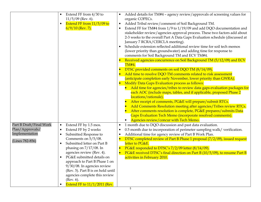|                                                                                 | Extend FF from 4/30 to<br>$11/5/09$ (Rev. 6).<br>Extend FF from 11/5/09 to<br>$6/9/10$ (Rev. 7).                                                                                                                                                                                                                                                                                                                                   | Added details for TM#4 - agency review/approvals of screening values for<br>$\bullet$<br>organic COPECs.<br>Added Tribal review/comment of Soil Background TM.<br>$\bullet$<br>Extend FF for TM#4 from 1/9 to 1/19/09 and add DQO documentation and<br>$\bullet$<br>stakeholder review/agencies approval process. These two factors add about<br>2-3 weeks to the overall Part A Data Gaps Evaluation schedule (discussed at<br>January 7 RCRA/CERCLA meeting).<br>Schedule extension reflected additional review time for soil tech memos<br>(lower priority than groundwater) and adding time for response to<br>comments for Soil Background TM and ECV TM#4.<br>Received agencies concurrence on Soil Background TM (5/12/09) and ECV<br><b>TM#4.</b><br>DTSC provided comments on soil DQO TM (8/14/09).<br>Add time to resolve DQO TM comments related to risk assessment<br>(anticipate completion early November, lower priority than GWRA).<br>Modify Data Gaps Evaluation process as follows:<br>Add time for agencies/tribes to review data gaps evaluation packages for<br>each AOC (include maps, tables, and if applicable, proposed Phase 2<br>locations/rationale).<br>After receipt of comments, PG&E will prepare/submit RTCs.<br>Add Comments Resolution meeting after agencies/Tribes review RTCs.<br>After comments resolution is complete, PG&E prepares/submits Data<br>Gaps Evaluation Tech Memo (incorporate resolved comments). |
|---------------------------------------------------------------------------------|------------------------------------------------------------------------------------------------------------------------------------------------------------------------------------------------------------------------------------------------------------------------------------------------------------------------------------------------------------------------------------------------------------------------------------|-----------------------------------------------------------------------------------------------------------------------------------------------------------------------------------------------------------------------------------------------------------------------------------------------------------------------------------------------------------------------------------------------------------------------------------------------------------------------------------------------------------------------------------------------------------------------------------------------------------------------------------------------------------------------------------------------------------------------------------------------------------------------------------------------------------------------------------------------------------------------------------------------------------------------------------------------------------------------------------------------------------------------------------------------------------------------------------------------------------------------------------------------------------------------------------------------------------------------------------------------------------------------------------------------------------------------------------------------------------------------------------------------------------------------------------------------------------|
|                                                                                 |                                                                                                                                                                                                                                                                                                                                                                                                                                    | Agencies review/concur with Tech Memo.                                                                                                                                                                                                                                                                                                                                                                                                                                                                                                                                                                                                                                                                                                                                                                                                                                                                                                                                                                                                                                                                                                                                                                                                                                                                                                                                                                                                                    |
| Part B Draft/Final Work<br>Plan/Approvals/<br>Implementation<br>(Lines 782-856) | Extend FF by 1.5 mos.<br>$\bullet$<br>Extend FF by 2 weeks<br>Submitted Response to<br>$\bullet$<br>Comments on $5/5/08$ .<br>Submitted letter on Part B<br>phasing on $7/17/08$ . In<br>agencies review (Rev. 4).<br>PG&E submitted details on<br>approach to Part B Phase 1 on<br>9/30/08. In agencies review<br>(Rev. 5). Part B is on hold until<br>agencies complete this review<br>(Rev. 6).<br>Extend FF to 11/1/2011 (Rev. | 1 month due to DQO discussion and past data evaluation.<br>$\bullet$<br>0.5 month due to incorporation of perimeter sampling walk/ verification.<br>$\bullet$<br>Additional time for agency review of Part B Work Plan.<br>$\bullet$<br>DTSC completed review of Part B Phase 1 proposal (7/2/09), issued request<br>$\bullet$<br>letter to PG&E.<br>PG&E responded to DTSC's 7/2/09 letter (8/14/09).<br>$\bullet$<br>PG&E received DTSC's final direction on Part B (10/5/09), to resume Part B<br>$\bullet$<br>activities in February 2010.                                                                                                                                                                                                                                                                                                                                                                                                                                                                                                                                                                                                                                                                                                                                                                                                                                                                                                            |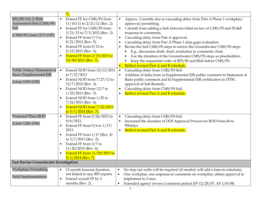|                                                                                   | $\overline{7}$                                                                                                                                                                                                                                                                                                                         |                                                                                                                                                                                                                                                                                                                                                                                                                                                                                                                                                                                                                                                     |
|-----------------------------------------------------------------------------------|----------------------------------------------------------------------------------------------------------------------------------------------------------------------------------------------------------------------------------------------------------------------------------------------------------------------------------------|-----------------------------------------------------------------------------------------------------------------------------------------------------------------------------------------------------------------------------------------------------------------------------------------------------------------------------------------------------------------------------------------------------------------------------------------------------------------------------------------------------------------------------------------------------------------------------------------------------------------------------------------------------|
| RFI/RI Vol. 3/Risk<br>Assessment-Soil/CMS/FS-<br>Soil<br>(CMS/FS Lines 1177-1197) | Extend FF for CMS/FS from<br>$\bullet$<br>$11/10/11$ to $2/21/12$ (Rev. 2)<br>Extend FF for CMS/FS from<br>$\bullet$<br>$2/21/12$ to $7/3/2012$ (Rev. 3).<br>Extend FF from 7/3 to<br>$8/21/2012$ (Rev. 5).<br>Extend FF from 8/12 to<br>$2/15/2013$ (Rev. 6).<br>Extend FF from $2/15/2013$ to<br>$\bullet$<br>$10/30/2013$ (Rev. 7). | Approx. 2 months due to cascading delay from Part A Phase 1 workplan/<br>approval/permitting.<br>1 month from adding a link between tribal review of CMS/FS and PG&E<br>$\bullet$<br>response to comments.<br>Cascading delay from Part A approval.<br>Cascading delay from Part A Phase 1 data gaps evaluation.<br>Revise the Soil CMS/FS steps to mirror the Groundwater CMS/FS steps<br>E.g., discussion draft, draft, resolution to comments, final.<br>Use the duration of the Groundwater CMS/FS steps as placeholders.<br>Keep the sequential order of RFI/RI and Risk before CMS/FS.<br>Reflect revised Part A and B schedule.<br>$\bullet$ |
| Public Notice/Statement of<br>Basis/Supplemental EIR<br>(Lines 1319-1329)         | Extend NOD from 12/13/2011<br>$\bullet$<br>to 7/27/2012<br>Extend NOD from 7/27/12 to<br>$12/7/2012$ (Rev. 3).<br>Extend NOD from 12/7 to<br>$1/25/2013$ (Rev. 5).<br>Extend NOD from 1/25 to<br>$7/22/2013$ (Rev. 6).<br>Extend NOD from 7/22/2013<br>$\bullet$<br>to $5/1/2014$ (Rev. 7).                                            | Cascading delay from CMS/FS Soil<br>$\bullet$<br>Addition of links from a) Supplemental EIR public comment to Statement of<br>$\bullet$<br>Basis public comment and b) Supplemental EIR certification to DTSC<br>approval of Soil Remedy.<br>Cascading delay from CMS/FS Soil.<br>$\bullet$<br>Reflect revised Part A and B schedule.                                                                                                                                                                                                                                                                                                               |
| Proposed Plan/ROD<br>(Lines 1226-1236)                                            | Extend FF from $5/26/2012$ to<br>$\bullet$<br>9/6/2012<br>Extend FF from $9/6$ to $1/17/$<br>2013.<br>Extend FF from $1/17$ (Rev. 4)<br>$\bullet$<br>to $3/7/2013$ (Rev. 5).<br>Extend FF from 3/7 to<br>$11/20/2013$ (Rev. 6).<br>Extend FF from 11/20/2013 to<br>$9/1/2014$ (Rev. 7).                                                | Cascading delay from CMS/FS Soil.<br>Increased the duration of DOI Approval Process for ROD from 60 to<br>90edays.<br>Reflect revised Part A and B schedule.<br>$\bullet$                                                                                                                                                                                                                                                                                                                                                                                                                                                                           |
| East Ravine Groundwater Investigation                                             |                                                                                                                                                                                                                                                                                                                                        |                                                                                                                                                                                                                                                                                                                                                                                                                                                                                                                                                                                                                                                     |
| Workplan/Permitting<br><b>Field Implementation</b>                                | 13 month forecast duration,<br>$\bullet$<br>not linked to any RFI reports<br>Extend overall FF by 3<br>$\bullet$<br>months (Rev. 2)                                                                                                                                                                                                    | No step out wells will be required (if needed, will add a time to schedule).<br>$\bullet$<br>One workplan, one response to comments on workplan, obtain approval to<br>implement in 2 mos.<br>Extended agency review/comment period (FF 12/28/07, AF 1/8/08)<br>$\bullet$                                                                                                                                                                                                                                                                                                                                                                           |